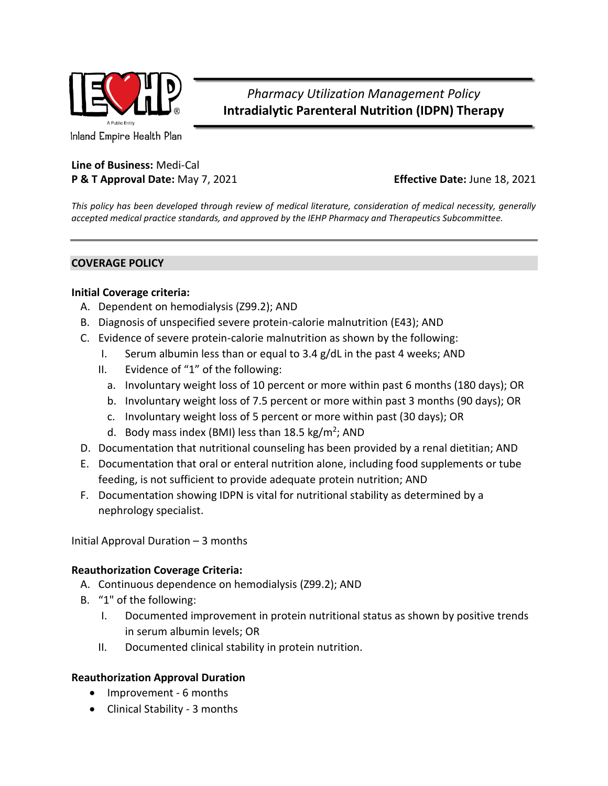

*Pharmacy Utilization Management Policy* **Intradialytic Parenteral Nutrition (IDPN) Therapy**

Inland Empire Health Plan

# **Line of Business:** Medi-Cal **P & T Approval Date:** May 7, 2021 **Effective Date:** June 18, 2021

*This policy has been developed through review of medical literature, consideration of medical necessity, generally accepted medical practice standards, and approved by the IEHP Pharmacy and Therapeutics Subcommittee.*

## **COVERAGE POLICY**

## **Initial Coverage criteria:**

- A. Dependent on hemodialysis (Z99.2); AND
- B. Diagnosis of unspecified severe protein-calorie malnutrition (E43); AND
- C. Evidence of severe protein-calorie malnutrition as shown by the following:
	- I. Serum albumin less than or equal to 3.4 g/dL in the past 4 weeks; AND
	- II. Evidence of "1" of the following:
		- a. Involuntary weight loss of 10 percent or more within past 6 months (180 days); OR
		- b. Involuntary weight loss of 7.5 percent or more within past 3 months (90 days); OR
		- c. Involuntary weight loss of 5 percent or more within past (30 days); OR
		- d. Body mass index (BMI) less than 18.5 kg/m<sup>2</sup>; AND
- D. Documentation that nutritional counseling has been provided by a renal dietitian; AND
- E. Documentation that oral or enteral nutrition alone, including food supplements or tube feeding, is not sufficient to provide adequate protein nutrition; AND
- F. Documentation showing IDPN is vital for nutritional stability as determined by a nephrology specialist.

Initial Approval Duration – 3 months

#### **Reauthorization Coverage Criteria:**

- A. Continuous dependence on hemodialysis (Z99.2); AND
- B. "1" of the following:
	- I. Documented improvement in protein nutritional status as shown by positive trends in serum albumin levels; OR
	- II. Documented clinical stability in protein nutrition.

#### **Reauthorization Approval Duration**

- Improvement 6 months
- Clinical Stability 3 months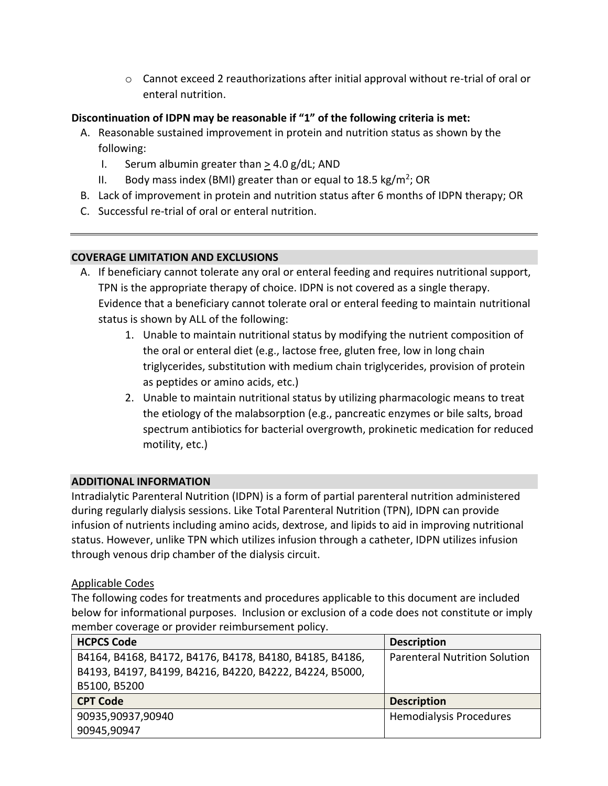$\circ$  Cannot exceed 2 reauthorizations after initial approval without re-trial of oral or enteral nutrition.

# **Discontinuation of IDPN may be reasonable if "1" of the following criteria is met:**

- A. Reasonable sustained improvement in protein and nutrition status as shown by the following:
	- I. Serum albumin greater than  $>$  4.0 g/dL; AND
	- II. Body mass index (BMI) greater than or equal to 18.5 kg/m<sup>2</sup>; OR
- B. Lack of improvement in protein and nutrition status after 6 months of IDPN therapy; OR
- C. Successful re-trial of oral or enteral nutrition.

# **COVERAGE LIMITATION AND EXCLUSIONS**

- A. If beneficiary cannot tolerate any oral or enteral feeding and requires nutritional support, TPN is the appropriate therapy of choice. IDPN is not covered as a single therapy. Evidence that a beneficiary cannot tolerate oral or enteral feeding to maintain nutritional status is shown by ALL of the following:
	- 1. Unable to maintain nutritional status by modifying the nutrient composition of the oral or enteral diet (e.g., lactose free, gluten free, low in long chain triglycerides, substitution with medium chain triglycerides, provision of protein as peptides or amino acids, etc.)
	- 2. Unable to maintain nutritional status by utilizing pharmacologic means to treat the etiology of the malabsorption (e.g., pancreatic enzymes or bile salts, broad spectrum antibiotics for bacterial overgrowth, prokinetic medication for reduced motility, etc.)

#### **ADDITIONAL INFORMATION**

Intradialytic Parenteral Nutrition (IDPN) is a form of partial parenteral nutrition administered during regularly dialysis sessions. Like Total Parenteral Nutrition (TPN), IDPN can provide infusion of nutrients including amino acids, dextrose, and lipids to aid in improving nutritional status. However, unlike TPN which utilizes infusion through a catheter, IDPN utilizes infusion through venous drip chamber of the dialysis circuit.

#### Applicable Codes

The following codes for treatments and procedures applicable to this document are included below for informational purposes. Inclusion or exclusion of a code does not constitute or imply member coverage or provider reimbursement policy.

| <b>HCPCS Code</b>                                       | <b>Description</b>                   |  |
|---------------------------------------------------------|--------------------------------------|--|
| B4164, B4168, B4172, B4176, B4178, B4180, B4185, B4186, | <b>Parenteral Nutrition Solution</b> |  |
| B4193, B4197, B4199, B4216, B4220, B4222, B4224, B5000, |                                      |  |
| B5100, B5200                                            |                                      |  |
| <b>CPT Code</b>                                         | <b>Description</b>                   |  |
| 90935,90937,90940                                       | <b>Hemodialysis Procedures</b>       |  |
| 90945,90947                                             |                                      |  |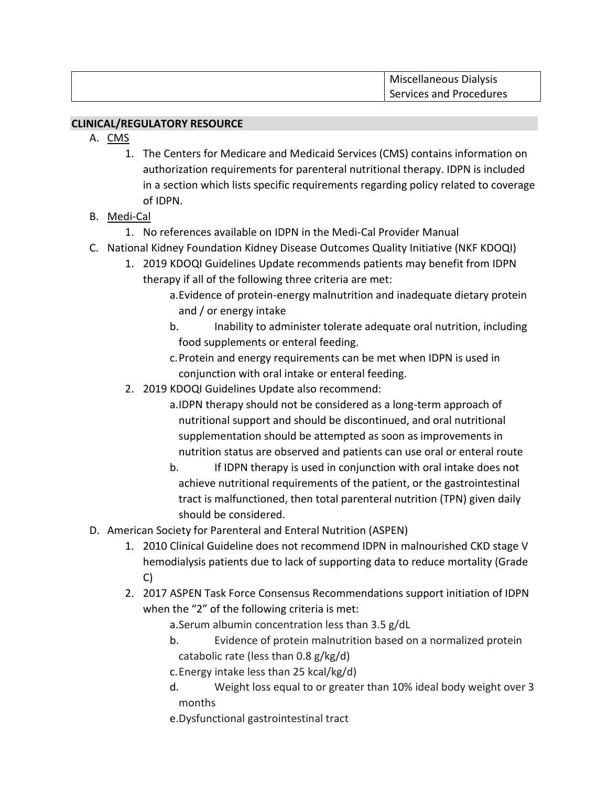| Miscellaneous Dialysis  |
|-------------------------|
| Services and Procedures |

#### **CLINICAL/REGULATORY RESOURCE**

- A. CMS
	- 1. The Centers for Medicare and Medicaid Services (CMS) contains information on authorization requirements for parenteral nutritional therapy. IDPN is included in a section which lists specific requirements regarding policy related to coverage of IDPN.
- B. Medi-Cal
	- 1. No references available on IDPN in the Medi-Cal Provider Manual
- C. National Kidney Foundation Kidney Disease Outcomes Quality Initiative (NKF KDOQI)
	- 1. 2019 KDOQI Guidelines Update recommends patients may benefit from IDPN therapy if all of the following three criteria are met:
		- a.Evidence of protein-energy malnutrition and inadequate dietary protein and / or energy intake
		- b. Inability to administer tolerate adequate oral nutrition, including food supplements or enteral feeding.
		- c.Protein and energy requirements can be met when IDPN is used in conjunction with oral intake or enteral feeding.
	- 2. 2019 KDOQI Guidelines Update also recommend:
		- a.IDPN therapy should not be considered as a long-term approach of nutritional support and should be discontinued, and oral nutritional supplementation should be attempted as soon as improvements in nutrition status are observed and patients can use oral or enteral route
		- b. If IDPN therapy is used in conjunction with oral intake does not achieve nutritional requirements of the patient, or the gastrointestinal tract is malfunctioned, then total parenteral nutrition (TPN) given daily should be considered.
- D. American Society for Parenteral and Enteral Nutrition (ASPEN)
	- 1. 2010 Clinical Guideline does not recommend IDPN in malnourished CKD stage V hemodialysis patients due to lack of supporting data to reduce mortality (Grade C)
	- 2. 2017 ASPEN Task Force Consensus Recommendations support initiation of IDPN when the "2" of the following criteria is met:
		- a.Serum albumin concentration less than 3.5 g/dL
		- b. Evidence of protein malnutrition based on a normalized protein catabolic rate (less than 0.8 g/kg/d)
		- c.Energy intake less than 25 kcal/kg/d)
		- d. Weight loss equal to or greater than 10% ideal body weight over 3 months
		- e.Dysfunctional gastrointestinal tract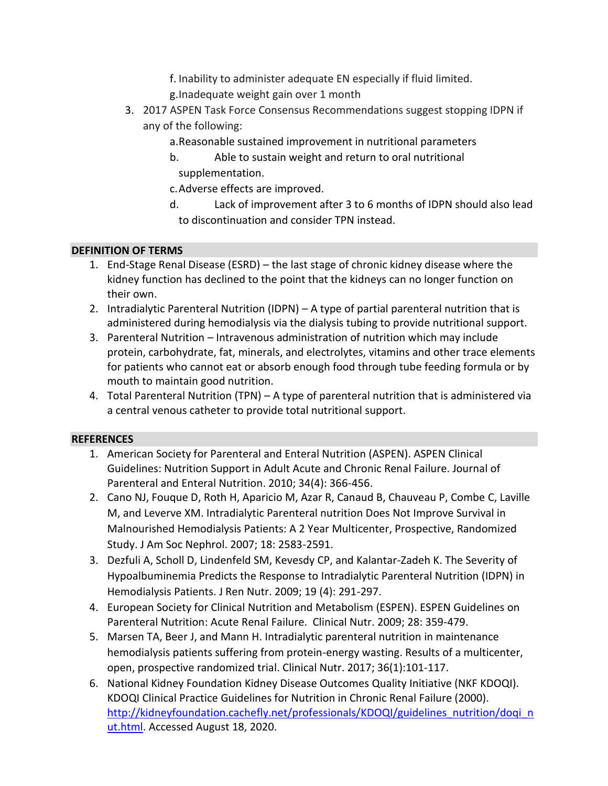- f. Inability to administer adequate EN especially if fluid limited.
- g.Inadequate weight gain over 1 month
- 3. 2017 ASPEN Task Force Consensus Recommendations suggest stopping IDPN if any of the following:
	- a.Reasonable sustained improvement in nutritional parameters
	- b. Able to sustain weight and return to oral nutritional supplementation.
	- c.Adverse effects are improved.
	- d. Lack of improvement after 3 to 6 months of IDPN should also lead to discontinuation and consider TPN instead.

## **DEFINITION OF TERMS**

- 1. End-Stage Renal Disease (ESRD) the last stage of chronic kidney disease where the kidney function has declined to the point that the kidneys can no longer function on their own.
- 2. Intradialytic Parenteral Nutrition (IDPN) A type of partial parenteral nutrition that is administered during hemodialysis via the dialysis tubing to provide nutritional support.
- 3. Parenteral Nutrition Intravenous administration of nutrition which may include protein, carbohydrate, fat, minerals, and electrolytes, vitamins and other trace elements for patients who cannot eat or absorb enough food through tube feeding formula or by mouth to maintain good nutrition.
- 4. Total Parenteral Nutrition (TPN) A type of parenteral nutrition that is administered via a central venous catheter to provide total nutritional support.

#### **REFERENCES**

- 1. American Society for Parenteral and Enteral Nutrition (ASPEN). ASPEN Clinical Guidelines: Nutrition Support in Adult Acute and Chronic Renal Failure. Journal of Parenteral and Enteral Nutrition. 2010; 34(4): 366-456.
- 2. Cano NJ, Fouque D, Roth H, Aparicio M, Azar R, Canaud B, Chauveau P, Combe C, Laville M, and Leverve XM. Intradialytic Parenteral nutrition Does Not Improve Survival in Malnourished Hemodialysis Patients: A 2 Year Multicenter, Prospective, Randomized Study. J Am Soc Nephrol. 2007; 18: 2583-2591.
- 3. Dezfuli A, Scholl D, Lindenfeld SM, Kevesdy CP, and Kalantar-Zadeh K. The Severity of Hypoalbuminemia Predicts the Response to Intradialytic Parenteral Nutrition (IDPN) in Hemodialysis Patients. J Ren Nutr. 2009; 19 (4): 291-297.
- 4. European Society for Clinical Nutrition and Metabolism (ESPEN). ESPEN Guidelines on Parenteral Nutrition: Acute Renal Failure. Clinical Nutr. 2009; 28: 359-479.
- 5. Marsen TA, Beer J, and Mann H. Intradialytic parenteral nutrition in maintenance hemodialysis patients suffering from protein-energy wasting. Results of a multicenter, open, prospective randomized trial. Clinical Nutr. 2017; 36(1):101-117.
- 6. National Kidney Foundation Kidney Disease Outcomes Quality Initiative (NKF KDOQI). KDOQI Clinical Practice Guidelines for Nutrition in Chronic Renal Failure (2000). [http://kidneyfoundation.cachefly.net/professionals/KDOQI/guidelines\\_nutrition/doqi\\_n](http://kidneyfoundation.cachefly.net/professionals/KDOQI/guidelines_nutrition/doqi_nut.html) [ut.html.](http://kidneyfoundation.cachefly.net/professionals/KDOQI/guidelines_nutrition/doqi_nut.html) Accessed August 18, 2020.